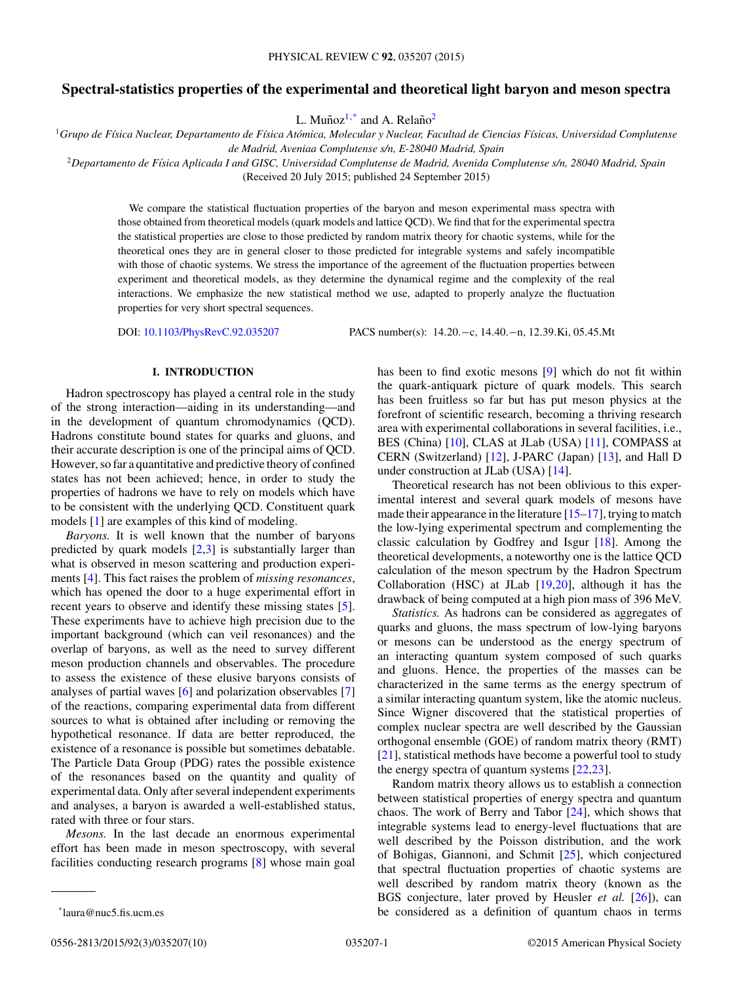# **Spectral-statistics properties of the experimental and theoretical light baryon and meson spectra**

L. Muñoz<sup> $1,*$ </sup> and A. Relaño<sup>2</sup>

<sup>1</sup>*Grupo de F´ısica Nuclear, Departamento de F´ısica Atomica, Molecular y Nuclear, Facultad de Ciencias F ´ ´ısicas, Universidad Complutense*

*de Madrid, Aveniaa Complutense s/n, E-28040 Madrid, Spain*

<sup>2</sup>*Departamento de F´ısica Aplicada I and GISC, Universidad Complutense de Madrid, Avenida Complutense s/n, 28040 Madrid, Spain*

(Received 20 July 2015; published 24 September 2015)

We compare the statistical fluctuation properties of the baryon and meson experimental mass spectra with those obtained from theoretical models (quark models and lattice QCD). We find that for the experimental spectra the statistical properties are close to those predicted by random matrix theory for chaotic systems, while for the theoretical ones they are in general closer to those predicted for integrable systems and safely incompatible with those of chaotic systems. We stress the importance of the agreement of the fluctuation properties between experiment and theoretical models, as they determine the dynamical regime and the complexity of the real interactions. We emphasize the new statistical method we use, adapted to properly analyze the fluctuation properties for very short spectral sequences.

DOI: [10.1103/PhysRevC.92.035207](http://dx.doi.org/10.1103/PhysRevC.92.035207) PACS number(s): 14*.*20*.*−c*,* 14*.*40*.*−n*,* 12*.*39*.*Ki*,* 05*.*45*.*Mt

# **I. INTRODUCTION**

Hadron spectroscopy has played a central role in the study of the strong interaction—aiding in its understanding—and in the development of quantum chromodynamics (QCD). Hadrons constitute bound states for quarks and gluons, and their accurate description is one of the principal aims of QCD. However, so far a quantitative and predictive theory of confined states has not been achieved; hence, in order to study the properties of hadrons we have to rely on models which have to be consistent with the underlying QCD. Constituent quark models [\[1\]](#page-9-0) are examples of this kind of modeling.

*Baryons.* It is well known that the number of baryons predicted by quark models  $[2,3]$  is substantially larger than what is observed in meson scattering and production experiments [\[4\]](#page-9-0). This fact raises the problem of *missing resonances*, which has opened the door to a huge experimental effort in recent years to observe and identify these missing states [\[5\]](#page-9-0). These experiments have to achieve high precision due to the important background (which can veil resonances) and the overlap of baryons, as well as the need to survey different meson production channels and observables. The procedure to assess the existence of these elusive baryons consists of analyses of partial waves [\[6\]](#page-9-0) and polarization observables [\[7\]](#page-9-0) of the reactions, comparing experimental data from different sources to what is obtained after including or removing the hypothetical resonance. If data are better reproduced, the existence of a resonance is possible but sometimes debatable. The Particle Data Group (PDG) rates the possible existence of the resonances based on the quantity and quality of experimental data. Only after several independent experiments and analyses, a baryon is awarded a well-established status, rated with three or four stars.

*Mesons.* In the last decade an enormous experimental effort has been made in meson spectroscopy, with several facilities conducting research programs [\[8\]](#page-9-0) whose main goal

Theoretical research has not been oblivious to this experimental interest and several quark models of mesons have made their appearance in the literature [\[15–17\]](#page-9-0), trying to match the low-lying experimental spectrum and complementing the classic calculation by Godfrey and Isgur [\[18\]](#page-9-0). Among the theoretical developments, a noteworthy one is the lattice QCD calculation of the meson spectrum by the Hadron Spectrum Collaboration (HSC) at JLab [\[19,20\]](#page-9-0), although it has the drawback of being computed at a high pion mass of 396 MeV.

*Statistics.* As hadrons can be considered as aggregates of quarks and gluons, the mass spectrum of low-lying baryons or mesons can be understood as the energy spectrum of an interacting quantum system composed of such quarks and gluons. Hence, the properties of the masses can be characterized in the same terms as the energy spectrum of a similar interacting quantum system, like the atomic nucleus. Since Wigner discovered that the statistical properties of complex nuclear spectra are well described by the Gaussian orthogonal ensemble (GOE) of random matrix theory (RMT) [\[21\]](#page-9-0), statistical methods have become a powerful tool to study the energy spectra of quantum systems [\[22,23\]](#page-9-0).

Random matrix theory allows us to establish a connection between statistical properties of energy spectra and quantum chaos. The work of Berry and Tabor [\[24\]](#page-9-0), which shows that integrable systems lead to energy-level fluctuations that are well described by the Poisson distribution, and the work of Bohigas, Giannoni, and Schmit [\[25\]](#page-9-0), which conjectured that spectral fluctuation properties of chaotic systems are well described by random matrix theory (known as the BGS conjecture, later proved by Heusler *et al.* [\[26\]](#page-9-0)), can be considered as a definition of quantum chaos in terms

has been to find exotic mesons [\[9\]](#page-9-0) which do not fit within the quark-antiquark picture of quark models. This search has been fruitless so far but has put meson physics at the forefront of scientific research, becoming a thriving research area with experimental collaborations in several facilities, i.e., BES (China) [\[10\]](#page-9-0), CLAS at JLab (USA) [\[11\]](#page-9-0), COMPASS at CERN (Switzerland) [\[12\]](#page-9-0), J-PARC (Japan) [\[13\]](#page-9-0), and Hall D under construction at JLab (USA) [\[14\]](#page-9-0).

<sup>\*</sup>laura@nuc5.fis.ucm.es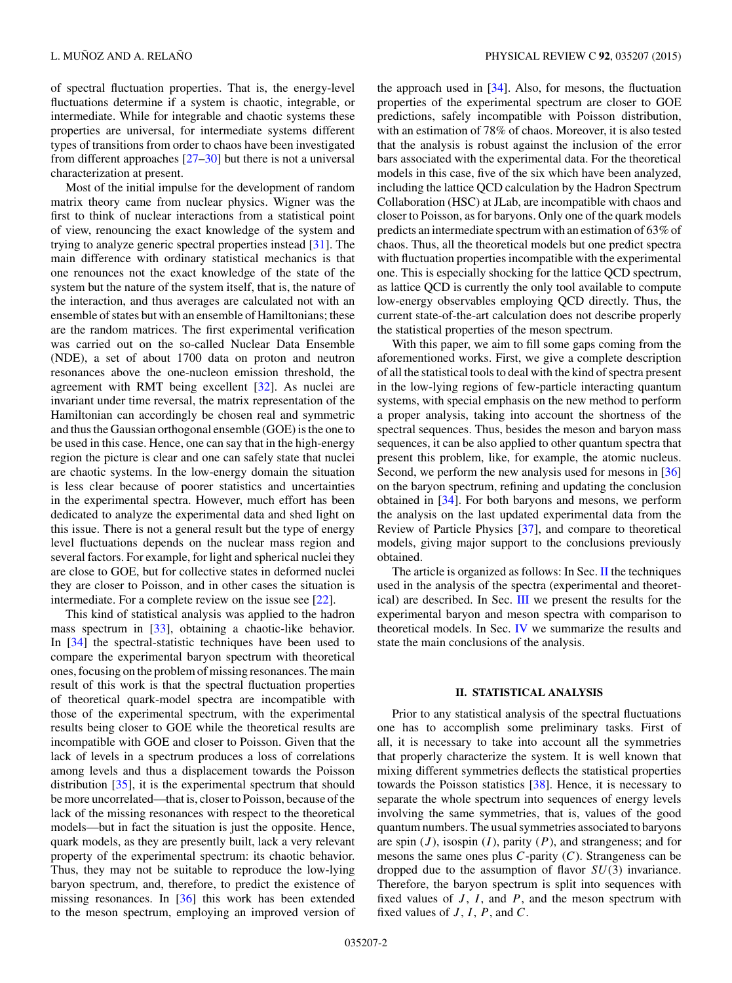<span id="page-1-0"></span>of spectral fluctuation properties. That is, the energy-level fluctuations determine if a system is chaotic, integrable, or intermediate. While for integrable and chaotic systems these properties are universal, for intermediate systems different types of transitions from order to chaos have been investigated from different approaches  $[27-30]$  but there is not a universal characterization at present.

Most of the initial impulse for the development of random matrix theory came from nuclear physics. Wigner was the first to think of nuclear interactions from a statistical point of view, renouncing the exact knowledge of the system and trying to analyze generic spectral properties instead [\[31\]](#page-9-0). The main difference with ordinary statistical mechanics is that one renounces not the exact knowledge of the state of the system but the nature of the system itself, that is, the nature of the interaction, and thus averages are calculated not with an ensemble of states but with an ensemble of Hamiltonians; these are the random matrices. The first experimental verification was carried out on the so-called Nuclear Data Ensemble (NDE), a set of about 1700 data on proton and neutron resonances above the one-nucleon emission threshold, the agreement with RMT being excellent [\[32\]](#page-9-0). As nuclei are invariant under time reversal, the matrix representation of the Hamiltonian can accordingly be chosen real and symmetric and thus the Gaussian orthogonal ensemble (GOE) is the one to be used in this case. Hence, one can say that in the high-energy region the picture is clear and one can safely state that nuclei are chaotic systems. In the low-energy domain the situation is less clear because of poorer statistics and uncertainties in the experimental spectra. However, much effort has been dedicated to analyze the experimental data and shed light on this issue. There is not a general result but the type of energy level fluctuations depends on the nuclear mass region and several factors. For example, for light and spherical nuclei they are close to GOE, but for collective states in deformed nuclei they are closer to Poisson, and in other cases the situation is intermediate. For a complete review on the issue see [\[22\]](#page-9-0).

This kind of statistical analysis was applied to the hadron mass spectrum in [\[33\]](#page-9-0), obtaining a chaotic-like behavior. In [\[34\]](#page-9-0) the spectral-statistic techniques have been used to compare the experimental baryon spectrum with theoretical ones, focusing on the problem of missing resonances. The main result of this work is that the spectral fluctuation properties of theoretical quark-model spectra are incompatible with those of the experimental spectrum, with the experimental results being closer to GOE while the theoretical results are incompatible with GOE and closer to Poisson. Given that the lack of levels in a spectrum produces a loss of correlations among levels and thus a displacement towards the Poisson distribution [\[35\]](#page-9-0), it is the experimental spectrum that should be more uncorrelated—that is, closer to Poisson, because of the lack of the missing resonances with respect to the theoretical models—but in fact the situation is just the opposite. Hence, quark models, as they are presently built, lack a very relevant property of the experimental spectrum: its chaotic behavior. Thus, they may not be suitable to reproduce the low-lying baryon spectrum, and, therefore, to predict the existence of missing resonances. In [\[36\]](#page-9-0) this work has been extended to the meson spectrum, employing an improved version of

the approach used in  $[34]$ . Also, for mesons, the fluctuation properties of the experimental spectrum are closer to GOE predictions, safely incompatible with Poisson distribution, with an estimation of 78% of chaos. Moreover, it is also tested that the analysis is robust against the inclusion of the error bars associated with the experimental data. For the theoretical models in this case, five of the six which have been analyzed, including the lattice QCD calculation by the Hadron Spectrum Collaboration (HSC) at JLab, are incompatible with chaos and closer to Poisson, as for baryons. Only one of the quark models predicts an intermediate spectrum with an estimation of 63% of chaos. Thus, all the theoretical models but one predict spectra with fluctuation properties incompatible with the experimental one. This is especially shocking for the lattice QCD spectrum, as lattice QCD is currently the only tool available to compute low-energy observables employing QCD directly. Thus, the current state-of-the-art calculation does not describe properly the statistical properties of the meson spectrum.

With this paper, we aim to fill some gaps coming from the aforementioned works. First, we give a complete description of all the statistical tools to deal with the kind of spectra present in the low-lying regions of few-particle interacting quantum systems, with special emphasis on the new method to perform a proper analysis, taking into account the shortness of the spectral sequences. Thus, besides the meson and baryon mass sequences, it can be also applied to other quantum spectra that present this problem, like, for example, the atomic nucleus. Second, we perform the new analysis used for mesons in [\[36\]](#page-9-0) on the baryon spectrum, refining and updating the conclusion obtained in [\[34\]](#page-9-0). For both baryons and mesons, we perform the analysis on the last updated experimental data from the Review of Particle Physics [\[37\]](#page-9-0), and compare to theoretical models, giving major support to the conclusions previously obtained.

The article is organized as follows: In Sec.  $\Pi$  the techniques used in the analysis of the spectra (experimental and theoretical) are described. In Sec. [III](#page-3-0) we present the results for the experimental baryon and meson spectra with comparison to theoretical models. In Sec. [IV](#page-8-0) we summarize the results and state the main conclusions of the analysis.

# **II. STATISTICAL ANALYSIS**

Prior to any statistical analysis of the spectral fluctuations one has to accomplish some preliminary tasks. First of all, it is necessary to take into account all the symmetries that properly characterize the system. It is well known that mixing different symmetries deflects the statistical properties towards the Poisson statistics [\[38\]](#page-9-0). Hence, it is necessary to separate the whole spectrum into sequences of energy levels involving the same symmetries, that is, values of the good quantum numbers. The usual symmetries associated to baryons are spin  $(J)$ , isospin  $(I)$ , parity  $(P)$ , and strangeness; and for mesons the same ones plus *C*-parity (*C*). Strangeness can be dropped due to the assumption of flavor *SU*(3) invariance. Therefore, the baryon spectrum is split into sequences with fixed values of  $J$ ,  $I$ , and  $P$ , and the meson spectrum with fixed values of  $J, I, P$ , and  $C$ .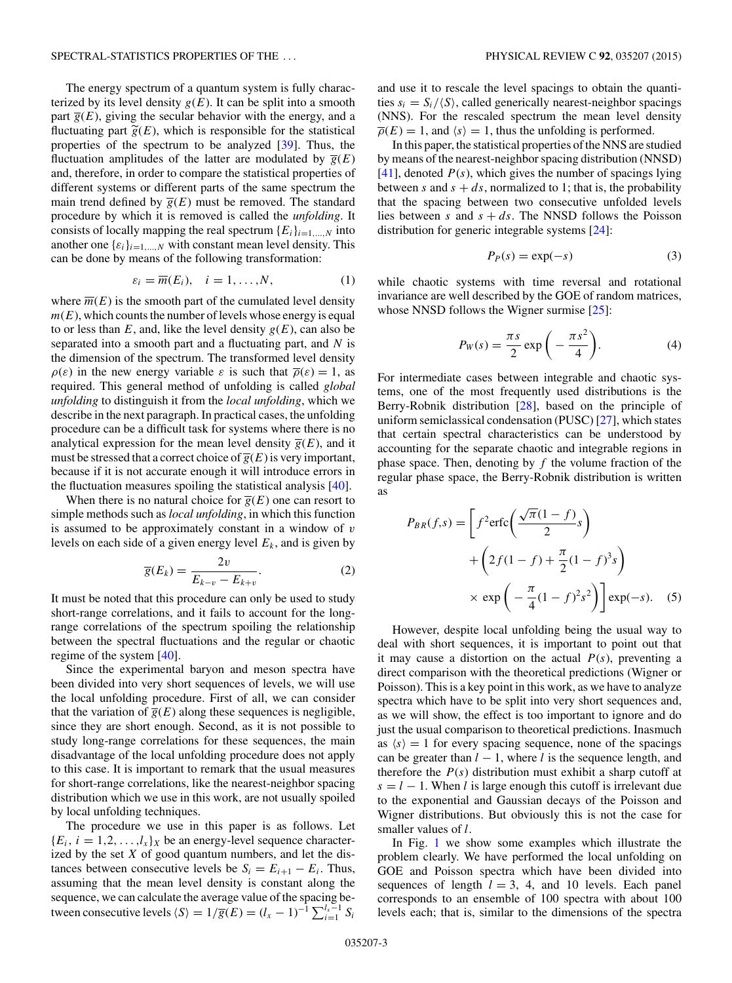The energy spectrum of a quantum system is fully characterized by its level density  $g(E)$ . It can be split into a smooth part  $\overline{g}(E)$ , giving the secular behavior with the energy, and a fluctuating part  $\tilde{g}(E)$ , which is responsible for the statistical<br>geographical fibre constants to be surelyzed [20]. Thus, the properties of the spectrum to be analyzed [\[39\]](#page-9-0). Thus, the fluctuation amplitudes of the latter are modulated by  $\overline{g}(E)$ and, therefore, in order to compare the statistical properties of different systems or different parts of the same spectrum the main trend defined by  $\overline{g}(E)$  must be removed. The standard procedure by which it is removed is called the *unfolding*. It consists of locally mapping the real spectrum  ${E_i}_{i=1,...,N}$  into another one  $\{\varepsilon_i\}_{i=1,\dots,N}$  with constant mean level density. This can be done by means of the following transformation:

$$
\varepsilon_i = \overline{m}(E_i), \quad i = 1, \dots, N,
$$
 (1)

where  $\overline{m}(E)$  is the smooth part of the cumulated level density  $m(E)$ , which counts the number of levels whose energy is equal to or less than  $E$ , and, like the level density  $g(E)$ , can also be separated into a smooth part and a fluctuating part, and *N* is the dimension of the spectrum. The transformed level density *ρ*(*ε*) in the new energy variable *ε* is such that  $\overline{\rho}(ε) = 1$ , as required. This general method of unfolding is called *global unfolding* to distinguish it from the *local unfolding*, which we describe in the next paragraph. In practical cases, the unfolding procedure can be a difficult task for systems where there is no analytical expression for the mean level density  $\overline{g}(E)$ , and it must be stressed that a correct choice of  $\overline{g}(E)$  is very important, because if it is not accurate enough it will introduce errors in the fluctuation measures spoiling the statistical analysis [\[40\]](#page-9-0).

When there is no natural choice for  $\overline{g}(E)$  one can resort to simple methods such as *local unfolding*, in which this function is assumed to be approximately constant in a window of *v* levels on each side of a given energy level  $E<sub>k</sub>$ , and is given by

$$
\overline{g}(E_k) = \frac{2v}{E_{k-v} - E_{k+v}}.\tag{2}
$$

It must be noted that this procedure can only be used to study short-range correlations, and it fails to account for the longrange correlations of the spectrum spoiling the relationship between the spectral fluctuations and the regular or chaotic regime of the system [\[40\]](#page-9-0).

Since the experimental baryon and meson spectra have been divided into very short sequences of levels, we will use the local unfolding procedure. First of all, we can consider that the variation of  $\overline{g}(E)$  along these sequences is negligible, since they are short enough. Second, as it is not possible to study long-range correlations for these sequences, the main disadvantage of the local unfolding procedure does not apply to this case. It is important to remark that the usual measures for short-range correlations, like the nearest-neighbor spacing distribution which we use in this work, are not usually spoiled by local unfolding techniques.

The procedure we use in this paper is as follows. Let  ${E_i, i = 1, 2, \ldots, l_x}$ *x* be an energy-level sequence characterized by the set *X* of good quantum numbers, and let the distances between consecutive levels be  $S_i = E_{i+1} - E_i$ . Thus, assuming that the mean level density is constant along the sequence, we can calculate the average value of the spacing between consecutive levels  $\langle S \rangle = 1/\overline{g}(E) = (l_x - 1)^{-1} \sum_{i=1}^{l_x - 1} S_i$ 

and use it to rescale the level spacings to obtain the quantities  $s_i = S_i / \langle S \rangle$ , called generically nearest-neighbor spacings (NNS). For the rescaled spectrum the mean level density  $\overline{\rho}(E) = 1$ , and  $\langle s \rangle = 1$ , thus the unfolding is performed.

In this paper, the statistical properties of the NNS are studied by means of the nearest-neighbor spacing distribution (NNSD) [\[41\]](#page-9-0), denoted *P*(*s*), which gives the number of spacings lying between *s* and  $s + ds$ , normalized to 1; that is, the probability that the spacing between two consecutive unfolded levels lies between *s* and  $s + ds$ . The NNSD follows the Poisson distribution for generic integrable systems [\[24\]](#page-9-0):

$$
P_P(s) = \exp(-s) \tag{3}
$$

while chaotic systems with time reversal and rotational invariance are well described by the GOE of random matrices, whose NNSD follows the Wigner surmise [\[25\]](#page-9-0):

$$
P_W(s) = \frac{\pi s}{2} \exp\left(-\frac{\pi s^2}{4}\right).
$$
 (4)

For intermediate cases between integrable and chaotic systems, one of the most frequently used distributions is the Berry-Robnik distribution [\[28\]](#page-9-0), based on the principle of uniform semiclassical condensation (PUSC) [\[27\]](#page-9-0), which states that certain spectral characteristics can be understood by accounting for the separate chaotic and integrable regions in phase space. Then, denoting by *f* the volume fraction of the regular phase space, the Berry-Robnik distribution is written as

$$
P_{BR}(f,s) = \left[ f^2 \text{erfc}\left(\frac{\sqrt{\pi}(1-f)}{2}s\right) + \left(2f(1-f) + \frac{\pi}{2}(1-f)^3s\right) \times \exp\left(-\frac{\pi}{4}(1-f)^2s^2\right) \right] \exp(-s). \quad (5)
$$

However, despite local unfolding being the usual way to deal with short sequences, it is important to point out that it may cause a distortion on the actual  $P(s)$ , preventing a direct comparison with the theoretical predictions (Wigner or Poisson). This is a key point in this work, as we have to analyze spectra which have to be split into very short sequences and, as we will show, the effect is too important to ignore and do just the usual comparison to theoretical predictions. Inasmuch as  $\langle s \rangle = 1$  for every spacing sequence, none of the spacings can be greater than *l* − 1, where *l* is the sequence length, and therefore the  $P(s)$  distribution must exhibit a sharp cutoff at  $s = l - 1$ . When *l* is large enough this cutoff is irrelevant due to the exponential and Gaussian decays of the Poisson and Wigner distributions. But obviously this is not the case for smaller values of *l*.

In Fig. [1](#page-3-0) we show some examples which illustrate the problem clearly. We have performed the local unfolding on GOE and Poisson spectra which have been divided into sequences of length  $l = 3, 4,$  and 10 levels. Each panel corresponds to an ensemble of 100 spectra with about 100 levels each; that is, similar to the dimensions of the spectra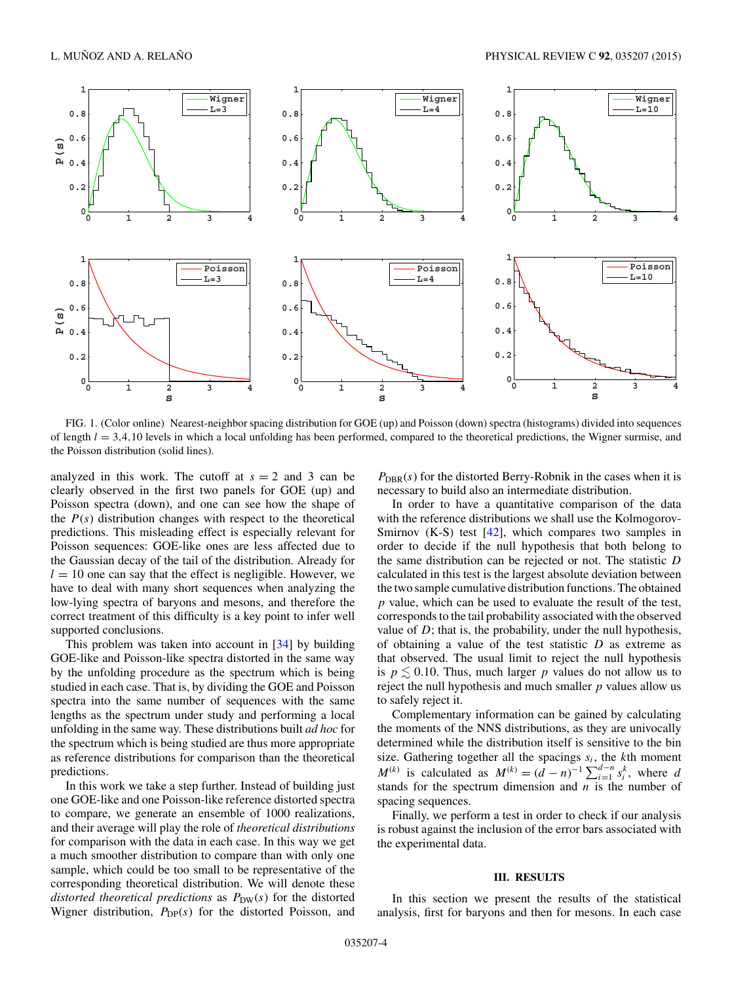<span id="page-3-0"></span>

FIG. 1. (Color online) Nearest-neighbor spacing distribution for GOE (up) and Poisson (down) spectra (histograms) divided into sequences of length  $l = 3,4,10$  levels in which a local unfolding has been performed, compared to the theoretical predictions, the Wigner surmise, and the Poisson distribution (solid lines).

analyzed in this work. The cutoff at  $s = 2$  and 3 can be clearly observed in the first two panels for GOE (up) and Poisson spectra (down), and one can see how the shape of the  $P(s)$  distribution changes with respect to the theoretical predictions. This misleading effect is especially relevant for Poisson sequences: GOE-like ones are less affected due to the Gaussian decay of the tail of the distribution. Already for  $l = 10$  one can say that the effect is negligible. However, we have to deal with many short sequences when analyzing the low-lying spectra of baryons and mesons, and therefore the correct treatment of this difficulty is a key point to infer well supported conclusions.

This problem was taken into account in [\[34\]](#page-9-0) by building GOE-like and Poisson-like spectra distorted in the same way by the unfolding procedure as the spectrum which is being studied in each case. That is, by dividing the GOE and Poisson spectra into the same number of sequences with the same lengths as the spectrum under study and performing a local unfolding in the same way. These distributions built *ad hoc* for the spectrum which is being studied are thus more appropriate as reference distributions for comparison than the theoretical predictions.

In this work we take a step further. Instead of building just one GOE-like and one Poisson-like reference distorted spectra to compare, we generate an ensemble of 1000 realizations, and their average will play the role of *theoretical distributions* for comparison with the data in each case. In this way we get a much smoother distribution to compare than with only one sample, which could be too small to be representative of the corresponding theoretical distribution. We will denote these *distorted theoretical predictions* as  $P_{DW}(s)$  for the distorted Wigner distribution,  $P_{DP}(s)$  for the distorted Poisson, and

 $P_{\text{DBR}}(s)$  for the distorted Berry-Robnik in the cases when it is necessary to build also an intermediate distribution.

In order to have a quantitative comparison of the data with the reference distributions we shall use the Kolmogorov-Smirnov  $(K-S)$  test  $[42]$ , which compares two samples in order to decide if the null hypothesis that both belong to the same distribution can be rejected or not. The statistic *D* calculated in this test is the largest absolute deviation between the two sample cumulative distribution functions. The obtained *p* value, which can be used to evaluate the result of the test, corresponds to the tail probability associated with the observed value of *D*; that is, the probability, under the null hypothesis, of obtaining a value of the test statistic *D* as extreme as that observed. The usual limit to reject the null hypothesis is  $p \lesssim 0.10$ . Thus, much larger p values do not allow us to reject the null hypothesis and much smaller *p* values allow us to safely reject it.

Complementary information can be gained by calculating the moments of the NNS distributions, as they are univocally determined while the distribution itself is sensitive to the bin size. Gathering together all the spacings *si*, the *k*th moment *M*<sup>(*k*)</sup> is calculated as  $M^{(k)} = (d - n)^{-1} \sum_{i=1}^{d-n} s_i^k$ , where *d* stands for the spectrum dimension and *n* is the number of spacing sequences.

Finally, we perform a test in order to check if our analysis is robust against the inclusion of the error bars associated with the experimental data.

#### **III. RESULTS**

In this section we present the results of the statistical analysis, first for baryons and then for mesons. In each case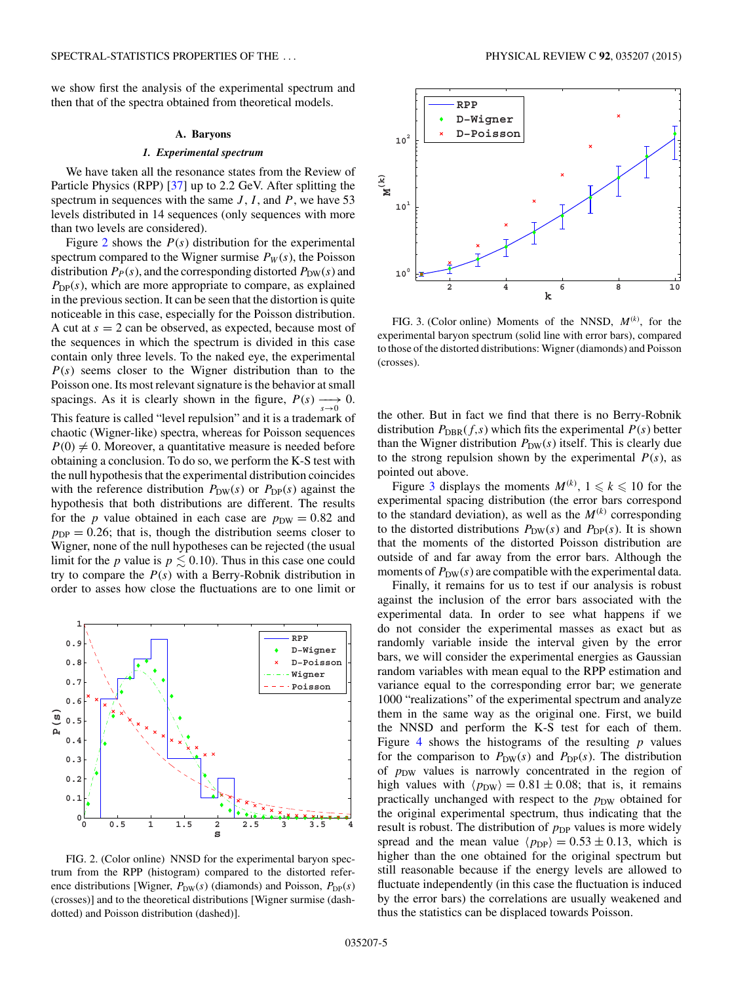we show first the analysis of the experimental spectrum and then that of the spectra obtained from theoretical models.

#### **A. Baryons**

#### *1. Experimental spectrum*

We have taken all the resonance states from the Review of Particle Physics (RPP) [\[37\]](#page-9-0) up to 2.2 GeV. After splitting the spectrum in sequences with the same *J* , *I* , and *P*, we have 53 levels distributed in 14 sequences (only sequences with more than two levels are considered).

Figure 2 shows the *P*(*s*) distribution for the experimental spectrum compared to the Wigner surmise  $P_W(s)$ , the Poisson distribution  $P_P(s)$ , and the corresponding distorted  $P_{DW}(s)$  and  $P_{\text{DP}}(s)$ , which are more appropriate to compare, as explained in the previous section. It can be seen that the distortion is quite noticeable in this case, especially for the Poisson distribution. A cut at  $s = 2$  can be observed, as expected, because most of the sequences in which the spectrum is divided in this case contain only three levels. To the naked eye, the experimental *P*(*s*) seems closer to the Wigner distribution than to the Poisson one. Its most relevant signature is the behavior at small spacings. As it is clearly shown in the figure,  $P(s) \longrightarrow 0$ . This feature is called "level repulsion" and it is a trademark of chaotic (Wigner-like) spectra, whereas for Poisson sequences  $P(0) \neq 0$ . Moreover, a quantitative measure is needed before obtaining a conclusion. To do so, we perform the K-S test with the null hypothesis that the experimental distribution coincides with the reference distribution  $P_{DW}(s)$  or  $P_{DP}(s)$  against the hypothesis that both distributions are different. The results for the *p* value obtained in each case are  $p_{DW} = 0.82$  and  $p_{\text{DP}} = 0.26$ ; that is, though the distribution seems closer to Wigner, none of the null hypotheses can be rejected (the usual limit for the *p* value is  $p \lesssim 0.10$ ). Thus in this case one could try to compare the *P*(*s*) with a Berry-Robnik distribution in order to asses how close the fluctuations are to one limit or



FIG. 2. (Color online) NNSD for the experimental baryon spectrum from the RPP (histogram) compared to the distorted reference distributions [Wigner,  $P_{DW}(s)$  (diamonds) and Poisson,  $P_{DP}(s)$ (crosses)] and to the theoretical distributions [Wigner surmise (dashdotted) and Poisson distribution (dashed)].



FIG. 3. (Color online) Moments of the NNSD,  $M^{(k)}$ , for the experimental baryon spectrum (solid line with error bars), compared to those of the distorted distributions: Wigner (diamonds) and Poisson (crosses).

the other. But in fact we find that there is no Berry-Robnik distribution  $P_{\text{DBR}}(f,s)$  which fits the experimental  $P(s)$  better than the Wigner distribution  $P_{DW}(s)$  itself. This is clearly due to the strong repulsion shown by the experimental  $P(s)$ , as pointed out above.

Figure 3 displays the moments  $M^{(k)}$ ,  $1 \le k \le 10$  for the experimental spacing distribution (the error bars correspond to the standard deviation), as well as the  $M^{(k)}$  corresponding to the distorted distributions  $P_{DW}(s)$  and  $P_{DP}(s)$ . It is shown that the moments of the distorted Poisson distribution are outside of and far away from the error bars. Although the moments of  $P_{DW}(s)$  are compatible with the experimental data.

Finally, it remains for us to test if our analysis is robust against the inclusion of the error bars associated with the experimental data. In order to see what happens if we do not consider the experimental masses as exact but as randomly variable inside the interval given by the error bars, we will consider the experimental energies as Gaussian random variables with mean equal to the RPP estimation and variance equal to the corresponding error bar; we generate 1000 "realizations" of the experimental spectrum and analyze them in the same way as the original one. First, we build the NNSD and perform the K-S test for each of them. Figure [4](#page-5-0) shows the histograms of the resulting *p* values for the comparison to  $P_{DW}(s)$  and  $P_{DP}(s)$ . The distribution of *p*<sub>DW</sub> values is narrowly concentrated in the region of high values with  $\langle p_{\text{DW}} \rangle = 0.81 \pm 0.08$ ; that is, it remains practically unchanged with respect to the *p*<sub>DW</sub> obtained for the original experimental spectrum, thus indicating that the result is robust. The distribution of  $p_{\text{DP}}$  values is more widely spread and the mean value  $\langle p_{\text{DP}} \rangle = 0.53 \pm 0.13$ , which is higher than the one obtained for the original spectrum but still reasonable because if the energy levels are allowed to fluctuate independently (in this case the fluctuation is induced by the error bars) the correlations are usually weakened and thus the statistics can be displaced towards Poisson.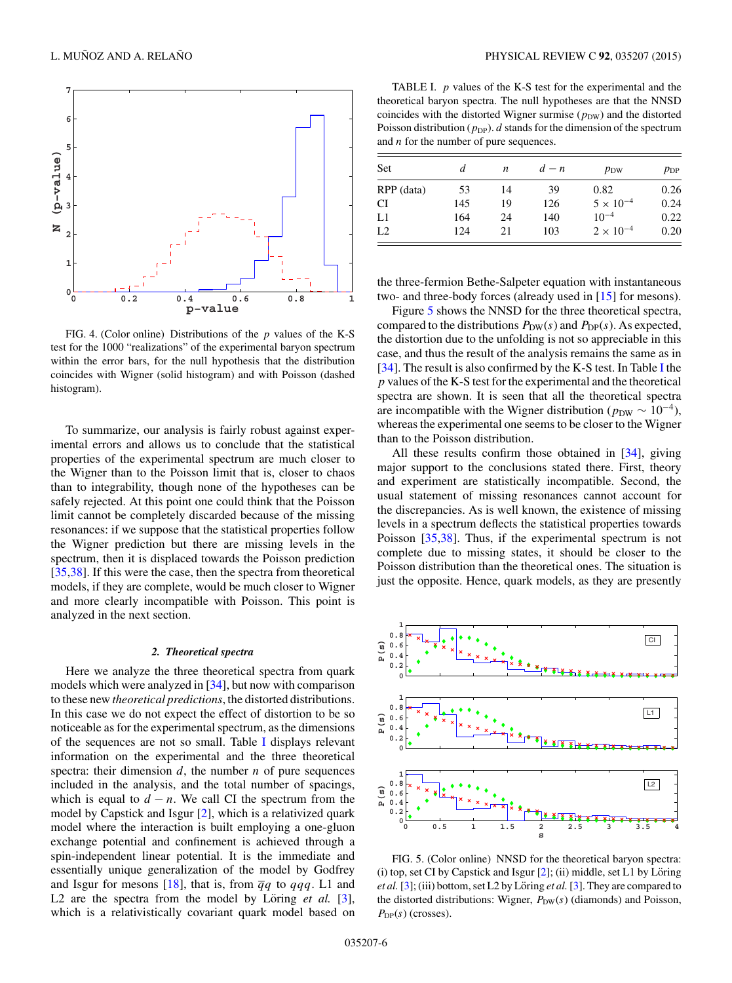<span id="page-5-0"></span>

FIG. 4. (Color online) Distributions of the *p* values of the K-S test for the 1000 "realizations" of the experimental baryon spectrum within the error bars, for the null hypothesis that the distribution coincides with Wigner (solid histogram) and with Poisson (dashed histogram).

To summarize, our analysis is fairly robust against experimental errors and allows us to conclude that the statistical properties of the experimental spectrum are much closer to the Wigner than to the Poisson limit that is, closer to chaos than to integrability, though none of the hypotheses can be safely rejected. At this point one could think that the Poisson limit cannot be completely discarded because of the missing resonances: if we suppose that the statistical properties follow the Wigner prediction but there are missing levels in the spectrum, then it is displaced towards the Poisson prediction [\[35,38\]](#page-9-0). If this were the case, then the spectra from theoretical models, if they are complete, would be much closer to Wigner and more clearly incompatible with Poisson. This point is analyzed in the next section.

#### *2. Theoretical spectra*

Here we analyze the three theoretical spectra from quark models which were analyzed in [\[34\]](#page-9-0), but now with comparison to these new *theoretical predictions*, the distorted distributions. In this case we do not expect the effect of distortion to be so noticeable as for the experimental spectrum, as the dimensions of the sequences are not so small. Table I displays relevant information on the experimental and the three theoretical spectra: their dimension *d*, the number *n* of pure sequences included in the analysis, and the total number of spacings, which is equal to  $d - n$ . We call CI the spectrum from the model by Capstick and Isgur [\[2\]](#page-9-0), which is a relativized quark model where the interaction is built employing a one-gluon exchange potential and confinement is achieved through a spin-independent linear potential. It is the immediate and essentially unique generalization of the model by Godfrey and Isgur for mesons [\[18\]](#page-9-0), that is, from  $\overline{q}q$  to  $qqq$ . L1 and L2 are the spectra from the model by Löring *et al.* [\[3\]](#page-9-0), which is a relativistically covariant quark model based on

TABLE I. *p* values of the K-S test for the experimental and the theoretical baryon spectra. The null hypotheses are that the NNSD coincides with the distorted Wigner surmise  $(p_{DW})$  and the distorted Poisson distribution  $(p_{DP})$ . *d* stands for the dimension of the spectrum and *n* for the number of pure sequences.

| Set        | d   | n  | $d - n$ | $p_{\text{DW}}$    | $p_{\rm DP}$ |
|------------|-----|----|---------|--------------------|--------------|
| RPP (data) | 53  | 14 | 39      | 0.82               | 0.26         |
| CI         | 145 | 19 | 126     | $5 \times 10^{-4}$ | 0.24         |
| L1         | 164 | 24 | 140     | $10^{-4}$          | 0.22         |
| L2         | 124 | 21 | 103     | $2 \times 10^{-4}$ | 0.20         |

the three-fermion Bethe-Salpeter equation with instantaneous two- and three-body forces (already used in [\[15\]](#page-9-0) for mesons).

Figure 5 shows the NNSD for the three theoretical spectra, compared to the distributions  $P_{DW}(s)$  and  $P_{DP}(s)$ . As expected, the distortion due to the unfolding is not so appreciable in this case, and thus the result of the analysis remains the same as in [\[34\]](#page-9-0). The result is also confirmed by the K-S test. In Table I the *p* values of the K-S test for the experimental and the theoretical spectra are shown. It is seen that all the theoretical spectra are incompatible with the Wigner distribution ( $p_{DW} \sim 10^{-4}$ ), whereas the experimental one seems to be closer to the Wigner than to the Poisson distribution.

All these results confirm those obtained in [\[34\]](#page-9-0), giving major support to the conclusions stated there. First, theory and experiment are statistically incompatible. Second, the usual statement of missing resonances cannot account for the discrepancies. As is well known, the existence of missing levels in a spectrum deflects the statistical properties towards Poisson [\[35,38\]](#page-9-0). Thus, if the experimental spectrum is not complete due to missing states, it should be closer to the Poisson distribution than the theoretical ones. The situation is just the opposite. Hence, quark models, as they are presently



FIG. 5. (Color online) NNSD for the theoretical baryon spectra: (i) top, set CI by Capstick and Isgur  $[2]$ ; (ii) middle, set L1 by Löring *et al.* [\[3\]](#page-9-0); (iii) bottom, set L2 by Löring *et al.* [3]. They are compared to the distorted distributions: Wigner,  $P_{DW}(s)$  (diamonds) and Poisson,  $P_{\text{DP}}(s)$  (crosses).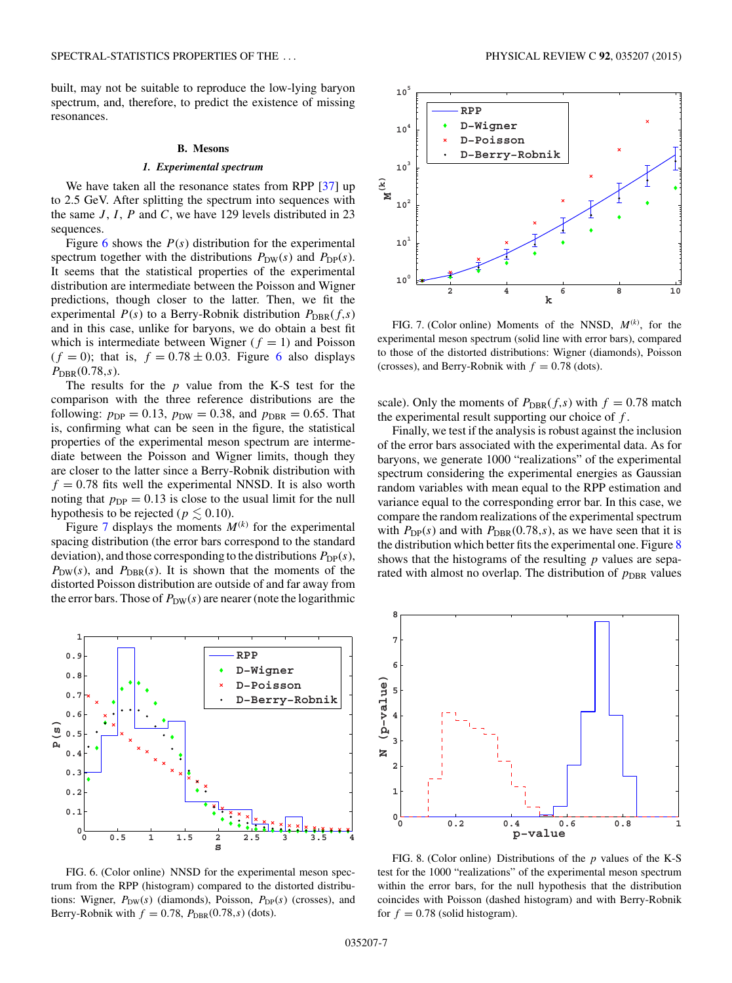<span id="page-6-0"></span>built, may not be suitable to reproduce the low-lying baryon spectrum, and, therefore, to predict the existence of missing resonances.

#### **B. Mesons**

#### *1. Experimental spectrum*

We have taken all the resonance states from RPP [\[37\]](#page-9-0) up to 2.5 GeV. After splitting the spectrum into sequences with the same  $J, I, P$  and  $C$ , we have 129 levels distributed in 23 sequences.

Figure 6 shows the  $P(s)$  distribution for the experimental spectrum together with the distributions  $P_{DW}(s)$  and  $P_{DP}(s)$ . It seems that the statistical properties of the experimental distribution are intermediate between the Poisson and Wigner predictions, though closer to the latter. Then, we fit the experimental  $P(s)$  to a Berry-Robnik distribution  $P_{\text{DBR}}(f,s)$ and in this case, unlike for baryons, we do obtain a best fit which is intermediate between Wigner  $(f = 1)$  and Poisson  $(f = 0)$ ; that is,  $f = 0.78 \pm 0.03$ . Figure 6 also displays  $P_{\text{DBR}}(0.78, s)$ .

The results for the *p* value from the K-S test for the comparison with the three reference distributions are the following:  $p_{\text{DP}} = 0.13$ ,  $p_{\text{DW}} = 0.38$ , and  $p_{\text{DBR}} = 0.65$ . That is, confirming what can be seen in the figure, the statistical properties of the experimental meson spectrum are intermediate between the Poisson and Wigner limits, though they are closer to the latter since a Berry-Robnik distribution with  $f = 0.78$  fits well the experimental NNSD. It is also worth noting that  $p_{\text{DP}} = 0.13$  is close to the usual limit for the null hypothesis to be rejected ( $p \lesssim 0.10$ ).

Figure 7 displays the moments  $M^{(k)}$  for the experimental spacing distribution (the error bars correspond to the standard deviation), and those corresponding to the distributions  $P_{\text{DP}}(s)$ ,  $P_{DW}(s)$ , and  $P_{DBR}(s)$ . It is shown that the moments of the distorted Poisson distribution are outside of and far away from the error bars. Those of  $P_{DW}(s)$  are nearer (note the logarithmic



FIG. 6. (Color online) NNSD for the experimental meson spectrum from the RPP (histogram) compared to the distorted distributions: Wigner,  $P_{DW}(s)$  (diamonds), Poisson,  $P_{DP}(s)$  (crosses), and Berry-Robnik with  $f = 0.78$ ,  $P_{DBR}(0.78, s)$  (dots).



FIG. 7. (Color online) Moments of the NNSD,  $M^{(k)}$ , for the experimental meson spectrum (solid line with error bars), compared to those of the distorted distributions: Wigner (diamonds), Poisson (crosses), and Berry-Robnik with  $f = 0.78$  (dots).

scale). Only the moments of  $P_{\text{DBR}}(f,s)$  with  $f = 0.78$  match the experimental result supporting our choice of *f* .

Finally, we test if the analysis is robust against the inclusion of the error bars associated with the experimental data. As for baryons, we generate 1000 "realizations" of the experimental spectrum considering the experimental energies as Gaussian random variables with mean equal to the RPP estimation and variance equal to the corresponding error bar. In this case, we compare the random realizations of the experimental spectrum with  $P_{\text{DP}}(s)$  and with  $P_{\text{DBR}}(0.78, s)$ , as we have seen that it is the distribution which better fits the experimental one. Figure 8 shows that the histograms of the resulting *p* values are separated with almost no overlap. The distribution of  $p_{\text{DBR}}$  values



FIG. 8. (Color online) Distributions of the *p* values of the K-S test for the 1000 "realizations" of the experimental meson spectrum within the error bars, for the null hypothesis that the distribution coincides with Poisson (dashed histogram) and with Berry-Robnik for  $f = 0.78$  (solid histogram).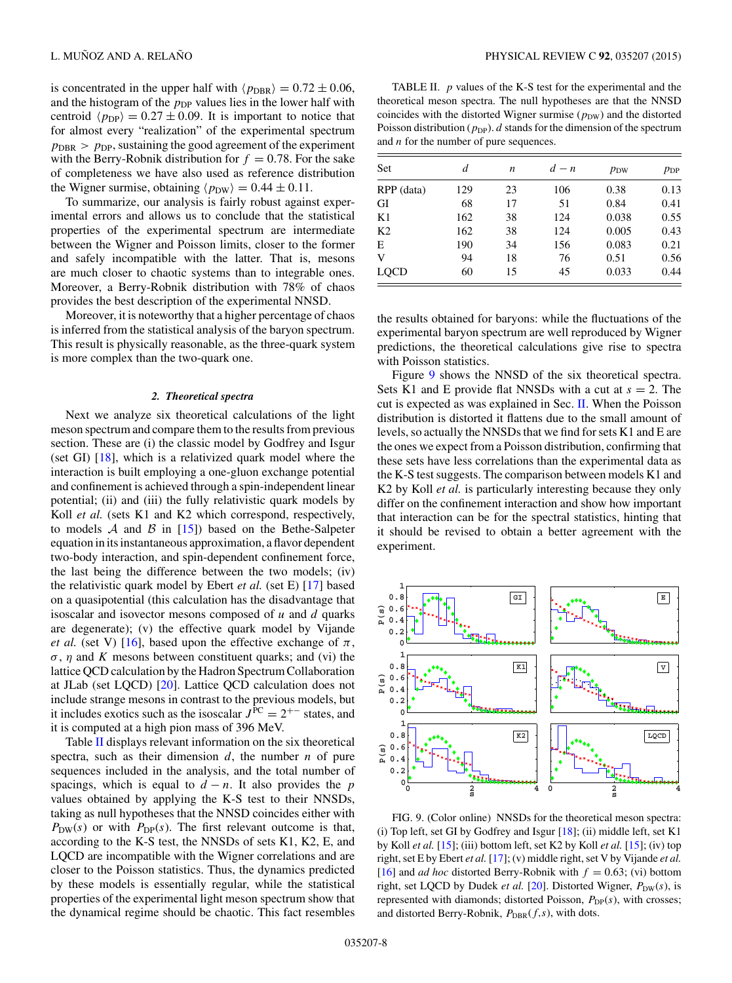<span id="page-7-0"></span>is concentrated in the upper half with  $\langle p_{\text{DBR}} \rangle = 0.72 \pm 0.06$ , and the histogram of the  $p_{\text{DP}}$  values lies in the lower half with centroid  $\langle p_{\text{DP}} \rangle = 0.27 \pm 0.09$ . It is important to notice that for almost every "realization" of the experimental spectrum  $p<sub>DBR</sub> > p<sub>DP</sub>$ , sustaining the good agreement of the experiment with the Berry-Robnik distribution for  $f = 0.78$ . For the sake of completeness we have also used as reference distribution the Wigner surmise, obtaining  $\langle p_{DW} \rangle = 0.44 \pm 0.11$ .

To summarize, our analysis is fairly robust against experimental errors and allows us to conclude that the statistical properties of the experimental spectrum are intermediate between the Wigner and Poisson limits, closer to the former and safely incompatible with the latter. That is, mesons are much closer to chaotic systems than to integrable ones. Moreover, a Berry-Robnik distribution with 78% of chaos provides the best description of the experimental NNSD.

Moreover, it is noteworthy that a higher percentage of chaos is inferred from the statistical analysis of the baryon spectrum. This result is physically reasonable, as the three-quark system is more complex than the two-quark one.

#### *2. Theoretical spectra*

Next we analyze six theoretical calculations of the light meson spectrum and compare them to the results from previous section. These are (i) the classic model by Godfrey and Isgur (set GI) [\[18\]](#page-9-0), which is a relativized quark model where the interaction is built employing a one-gluon exchange potential and confinement is achieved through a spin-independent linear potential; (ii) and (iii) the fully relativistic quark models by Koll *et al.* (sets K1 and K2 which correspond, respectively, to models A and B in  $[15]$  based on the Bethe-Salpeter equation in its instantaneous approximation, a flavor dependent two-body interaction, and spin-dependent confinement force, the last being the difference between the two models; (iv) the relativistic quark model by Ebert *et al.* (set E) [\[17\]](#page-9-0) based on a quasipotential (this calculation has the disadvantage that isoscalar and isovector mesons composed of *u* and *d* quarks are degenerate); (v) the effective quark model by Vijande *et al.* (set V) [\[16\]](#page-9-0), based upon the effective exchange of  $\pi$ , *σ*, *η* and *K* mesons between constituent quarks; and (vi) the lattice QCD calculation by the Hadron Spectrum Collaboration at JLab (set LQCD) [\[20\]](#page-9-0). Lattice QCD calculation does not include strange mesons in contrast to the previous models, but it includes exotics such as the isoscalar  $J^{PC} = 2^{+-}$  states, and it is computed at a high pion mass of 396 MeV.

Table II displays relevant information on the six theoretical spectra, such as their dimension *d*, the number *n* of pure sequences included in the analysis, and the total number of spacings, which is equal to  $d - n$ . It also provides the *p* values obtained by applying the K-S test to their NNSDs, taking as null hypotheses that the NNSD coincides either with  $P_{DW}(s)$  or with  $P_{DP}(s)$ . The first relevant outcome is that, according to the K-S test, the NNSDs of sets K1, K2, E, and LQCD are incompatible with the Wigner correlations and are closer to the Poisson statistics. Thus, the dynamics predicted by these models is essentially regular, while the statistical properties of the experimental light meson spectrum show that the dynamical regime should be chaotic. This fact resembles

TABLE II. *p* values of the K-S test for the experimental and the theoretical meson spectra. The null hypotheses are that the NNSD coincides with the distorted Wigner surmise ( $p_{DW}$ ) and the distorted Poisson distribution ( $p_{DP}$ ). *d* stands for the dimension of the spectrum and *n* for the number of pure sequences.

| Set            | d   | n  | $d - n$ | $p_{DW}$ | $p_{\rm DP}$ |
|----------------|-----|----|---------|----------|--------------|
| RPP (data)     | 129 | 23 | 106     | 0.38     | 0.13         |
| GI             | 68  | 17 | 51      | 0.84     | 0.41         |
| K1             | 162 | 38 | 124     | 0.038    | 0.55         |
| K <sub>2</sub> | 162 | 38 | 124     | 0.005    | 0.43         |
| E              | 190 | 34 | 156     | 0.083    | 0.21         |
| V              | 94  | 18 | 76      | 0.51     | 0.56         |
| <b>LQCD</b>    | 60  | 15 | 45      | 0.033    | 0.44         |

the results obtained for baryons: while the fluctuations of the experimental baryon spectrum are well reproduced by Wigner predictions, the theoretical calculations give rise to spectra with Poisson statistics.

Figure 9 shows the NNSD of the six theoretical spectra. Sets K1 and E provide flat NNSDs with a cut at  $s = 2$ . The cut is expected as was explained in Sec. [II.](#page-1-0) When the Poisson distribution is distorted it flattens due to the small amount of levels, so actually the NNSDs that we find for sets K1 and E are the ones we expect from a Poisson distribution, confirming that these sets have less correlations than the experimental data as the K-S test suggests. The comparison between models K1 and K2 by Koll *et al.* is particularly interesting because they only differ on the confinement interaction and show how important that interaction can be for the spectral statistics, hinting that it should be revised to obtain a better agreement with the experiment.



FIG. 9. (Color online) NNSDs for the theoretical meson spectra: (i) Top left, set GI by Godfrey and Isgur [\[18\]](#page-9-0); (ii) middle left, set K1 by Koll *et al.* [\[15\]](#page-9-0); (iii) bottom left, set K2 by Koll *et al.* [\[15\]](#page-9-0); (iv) top right, set E by Ebert *et al.* [\[17\]](#page-9-0); (v) middle right, set V by Vijande *et al.* [\[16\]](#page-9-0) and *ad hoc* distorted Berry-Robnik with  $f = 0.63$ ; (vi) bottom right, set LQCD by Dudek *et al.* [\[20\]](#page-9-0). Distorted Wigner,  $P_{DW}(s)$ , is represented with diamonds; distorted Poisson,  $P_{\text{DP}}(s)$ , with crosses; and distorted Berry-Robnik,  $P_{\text{DBR}}(f,s)$ , with dots.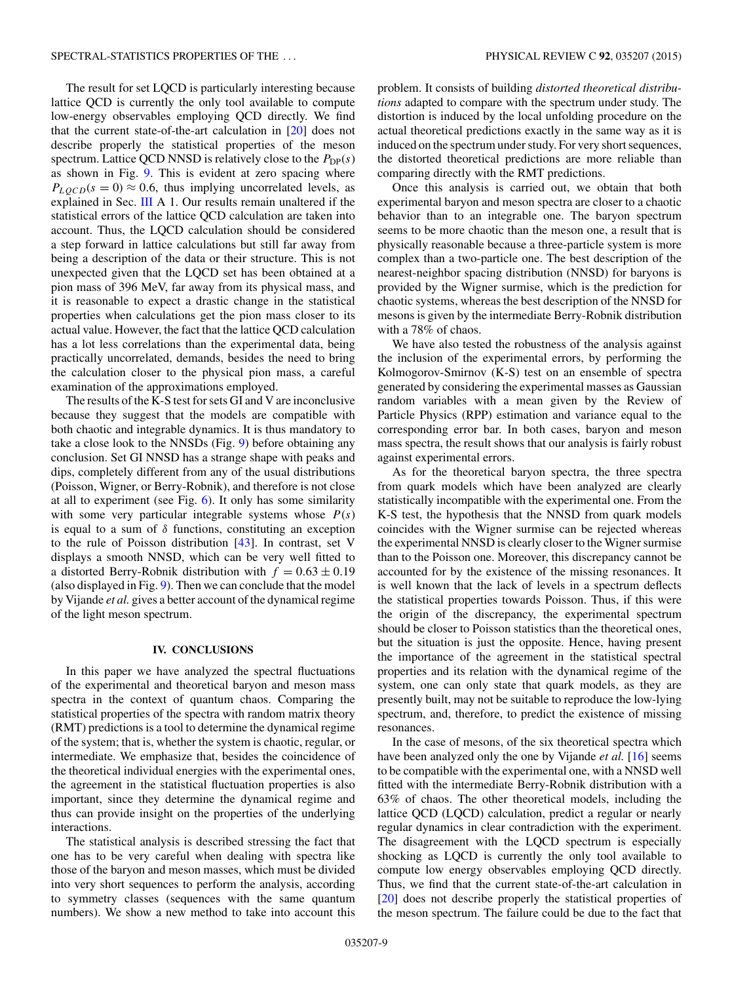<span id="page-8-0"></span>The result for set LQCD is particularly interesting because lattice QCD is currently the only tool available to compute low-energy observables employing QCD directly. We find that the current state-of-the-art calculation in [\[20\]](#page-9-0) does not describe properly the statistical properties of the meson spectrum. Lattice QCD NNSD is relatively close to the  $P_{\text{DP}}(s)$ as shown in Fig. [9.](#page-7-0) This is evident at zero spacing where  $P_{LQCD}(s = 0) \approx 0.6$ , thus implying uncorrelated levels, as explained in Sec. [III](#page-3-0) A 1. Our results remain unaltered if the statistical errors of the lattice QCD calculation are taken into account. Thus, the LQCD calculation should be considered a step forward in lattice calculations but still far away from being a description of the data or their structure. This is not unexpected given that the LQCD set has been obtained at a pion mass of 396 MeV, far away from its physical mass, and it is reasonable to expect a drastic change in the statistical properties when calculations get the pion mass closer to its actual value. However, the fact that the lattice QCD calculation has a lot less correlations than the experimental data, being practically uncorrelated, demands, besides the need to bring the calculation closer to the physical pion mass, a careful examination of the approximations employed.

The results of the K-S test for sets GI and V are inconclusive because they suggest that the models are compatible with both chaotic and integrable dynamics. It is thus mandatory to take a close look to the NNSDs (Fig. [9\)](#page-7-0) before obtaining any conclusion. Set GI NNSD has a strange shape with peaks and dips, completely different from any of the usual distributions (Poisson, Wigner, or Berry-Robnik), and therefore is not close at all to experiment (see Fig. [6\)](#page-6-0). It only has some similarity with some very particular integrable systems whose *P*(*s*) is equal to a sum of *δ* functions, constituting an exception to the rule of Poisson distribution [\[43\]](#page-9-0). In contrast, set V displays a smooth NNSD, which can be very well fitted to a distorted Berry-Robnik distribution with  $f = 0.63 \pm 0.19$ (also displayed in Fig. [9\)](#page-7-0). Then we can conclude that the model by Vijande *et al.* gives a better account of the dynamical regime of the light meson spectrum.

### **IV. CONCLUSIONS**

In this paper we have analyzed the spectral fluctuations of the experimental and theoretical baryon and meson mass spectra in the context of quantum chaos. Comparing the statistical properties of the spectra with random matrix theory (RMT) predictions is a tool to determine the dynamical regime of the system; that is, whether the system is chaotic, regular, or intermediate. We emphasize that, besides the coincidence of the theoretical individual energies with the experimental ones, the agreement in the statistical fluctuation properties is also important, since they determine the dynamical regime and thus can provide insight on the properties of the underlying interactions.

The statistical analysis is described stressing the fact that one has to be very careful when dealing with spectra like those of the baryon and meson masses, which must be divided into very short sequences to perform the analysis, according to symmetry classes (sequences with the same quantum numbers). We show a new method to take into account this problem. It consists of building *distorted theoretical distributions* adapted to compare with the spectrum under study. The distortion is induced by the local unfolding procedure on the actual theoretical predictions exactly in the same way as it is induced on the spectrum under study. For very short sequences, the distorted theoretical predictions are more reliable than comparing directly with the RMT predictions.

Once this analysis is carried out, we obtain that both experimental baryon and meson spectra are closer to a chaotic behavior than to an integrable one. The baryon spectrum seems to be more chaotic than the meson one, a result that is physically reasonable because a three-particle system is more complex than a two-particle one. The best description of the nearest-neighbor spacing distribution (NNSD) for baryons is provided by the Wigner surmise, which is the prediction for chaotic systems, whereas the best description of the NNSD for mesons is given by the intermediate Berry-Robnik distribution with a 78% of chaos.

We have also tested the robustness of the analysis against the inclusion of the experimental errors, by performing the Kolmogorov-Smirnov (K-S) test on an ensemble of spectra generated by considering the experimental masses as Gaussian random variables with a mean given by the Review of Particle Physics (RPP) estimation and variance equal to the corresponding error bar. In both cases, baryon and meson mass spectra, the result shows that our analysis is fairly robust against experimental errors.

As for the theoretical baryon spectra, the three spectra from quark models which have been analyzed are clearly statistically incompatible with the experimental one. From the K-S test, the hypothesis that the NNSD from quark models coincides with the Wigner surmise can be rejected whereas the experimental NNSD is clearly closer to the Wigner surmise than to the Poisson one. Moreover, this discrepancy cannot be accounted for by the existence of the missing resonances. It is well known that the lack of levels in a spectrum deflects the statistical properties towards Poisson. Thus, if this were the origin of the discrepancy, the experimental spectrum should be closer to Poisson statistics than the theoretical ones, but the situation is just the opposite. Hence, having present the importance of the agreement in the statistical spectral properties and its relation with the dynamical regime of the system, one can only state that quark models, as they are presently built, may not be suitable to reproduce the low-lying spectrum, and, therefore, to predict the existence of missing resonances.

In the case of mesons, of the six theoretical spectra which have been analyzed only the one by Vijande *et al.* [\[16\]](#page-9-0) seems to be compatible with the experimental one, with a NNSD well fitted with the intermediate Berry-Robnik distribution with a 63% of chaos. The other theoretical models, including the lattice QCD (LQCD) calculation, predict a regular or nearly regular dynamics in clear contradiction with the experiment. The disagreement with the LQCD spectrum is especially shocking as LQCD is currently the only tool available to compute low energy observables employing QCD directly. Thus, we find that the current state-of-the-art calculation in [\[20\]](#page-9-0) does not describe properly the statistical properties of the meson spectrum. The failure could be due to the fact that